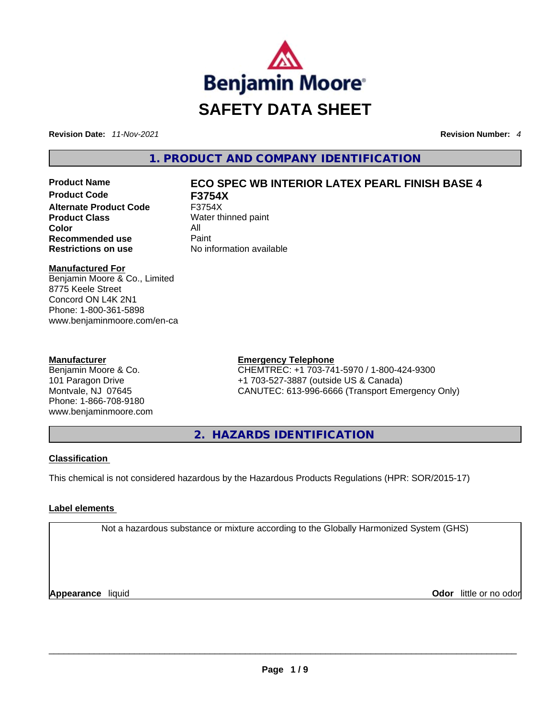

**Revision Date:** *11-Nov-2021* **Revision Number:** *4*

**1. PRODUCT AND COMPANY IDENTIFICATION** 

**Product Code F3754X Alternate Product Code** F3754X **Product Class** Water thinned paint **Color** All **Recommended use Paint Restrictions on use** No information available

# **Product Name ECO SPEC WB INTERIOR LATEX PEARL FINISH BASE 4**

# **Manufactured For**

Benjamin Moore & Co., Limited 8775 Keele Street Concord ON L4K 2N1 Phone: 1-800-361-5898 www.benjaminmoore.com/en-ca

# **Manufacturer**

Benjamin Moore & Co. 101 Paragon Drive Montvale, NJ 07645 Phone: 1-866-708-9180 www.benjaminmoore.com

# **Emergency Telephone**

CHEMTREC: +1 703-741-5970 / 1-800-424-9300 +1 703-527-3887 (outside US & Canada) CANUTEC: 613-996-6666 (Transport Emergency Only)

**2. HAZARDS IDENTIFICATION** 

# **Classification**

This chemical is not considered hazardous by the Hazardous Products Regulations (HPR: SOR/2015-17)

# **Label elements**

Not a hazardous substance or mixture according to the Globally Harmonized System (GHS)

**Appearance** liquid **Odor** little or no odor \_\_\_\_\_\_\_\_\_\_\_\_\_\_\_\_\_\_\_\_\_\_\_\_\_\_\_\_\_\_\_\_\_\_\_\_\_\_\_\_\_\_\_\_\_\_\_\_\_\_\_\_\_\_\_\_\_\_\_\_\_\_\_\_\_\_\_\_\_\_\_\_\_\_\_\_\_\_\_\_\_\_\_\_\_\_\_\_\_\_\_\_\_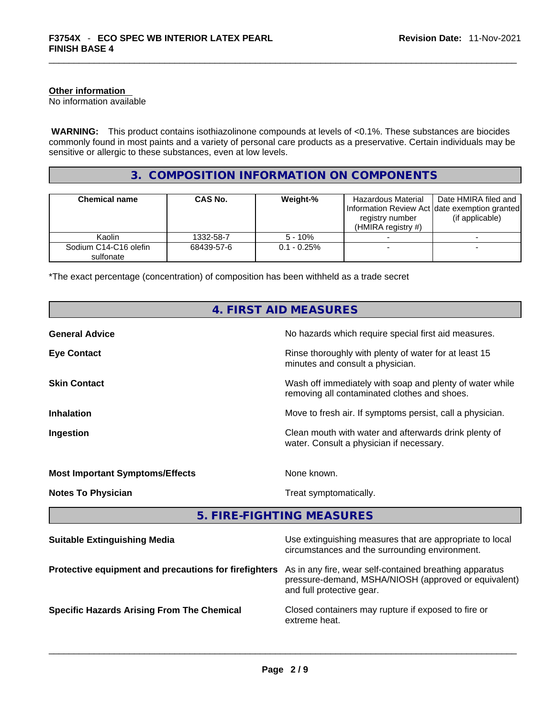#### **Other information**

No information available

 **WARNING:** This product contains isothiazolinone compounds at levels of <0.1%. These substances are biocides commonly found in most paints and a variety of personal care products as a preservative. Certain individuals may be sensitive or allergic to these substances, even at low levels.

# **3. COMPOSITION INFORMATION ON COMPONENTS**

| <b>Chemical name</b>               | CAS No.    | Weight-%       | Hazardous Material<br>registry number<br>(HMIRA registry $#$ ) | Date HMIRA filed and<br>Information Review Act Idate exemption granted<br>(if applicable) |
|------------------------------------|------------|----------------|----------------------------------------------------------------|-------------------------------------------------------------------------------------------|
| Kaolin                             | 1332-58-7  | $5 - 10%$      |                                                                |                                                                                           |
| Sodium C14-C16 olefin<br>sulfonate | 68439-57-6 | $0.1 - 0.25\%$ |                                                                |                                                                                           |

\*The exact percentage (concentration) of composition has been withheld as a trade secret

| <b>4. FIRST AID MEASURES</b>                          |                                                                                                                                              |  |  |
|-------------------------------------------------------|----------------------------------------------------------------------------------------------------------------------------------------------|--|--|
| <b>General Advice</b>                                 | No hazards which require special first aid measures.                                                                                         |  |  |
| <b>Eye Contact</b>                                    | Rinse thoroughly with plenty of water for at least 15<br>minutes and consult a physician.                                                    |  |  |
| <b>Skin Contact</b>                                   | Wash off immediately with soap and plenty of water while<br>removing all contaminated clothes and shoes.                                     |  |  |
| <b>Inhalation</b>                                     | Move to fresh air. If symptoms persist, call a physician.                                                                                    |  |  |
| Ingestion                                             | Clean mouth with water and afterwards drink plenty of<br>water. Consult a physician if necessary.                                            |  |  |
| <b>Most Important Symptoms/Effects</b>                | None known.                                                                                                                                  |  |  |
| <b>Notes To Physician</b>                             | Treat symptomatically.                                                                                                                       |  |  |
|                                                       | 5. FIRE-FIGHTING MEASURES                                                                                                                    |  |  |
| <b>Suitable Extinguishing Media</b>                   | Use extinguishing measures that are appropriate to local<br>circumstances and the surrounding environment.                                   |  |  |
| Protective equipment and precautions for firefighters | As in any fire, wear self-contained breathing apparatus<br>pressure-demand, MSHA/NIOSH (approved or equivalent)<br>and full protective gear. |  |  |
| <b>Specific Hazards Arising From The Chemical</b>     | Closed containers may rupture if exposed to fire or<br>extreme heat.                                                                         |  |  |
|                                                       |                                                                                                                                              |  |  |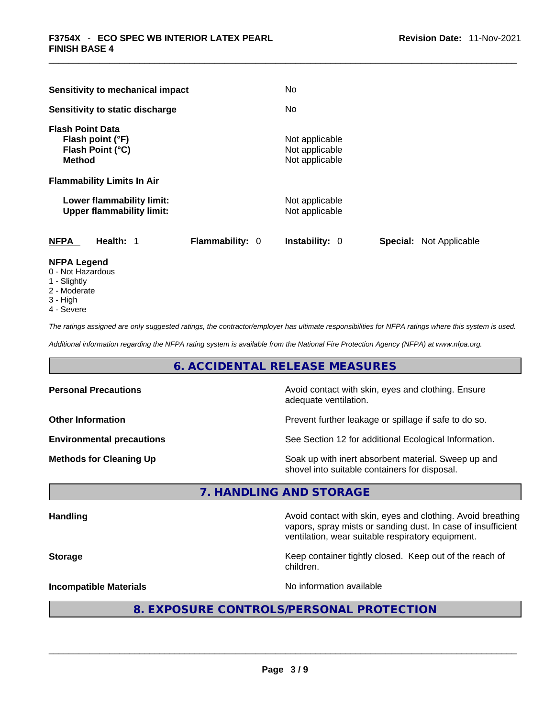| Sensitivity to mechanical impact                                                                   |                 | No.                                                |          |                |
|----------------------------------------------------------------------------------------------------|-----------------|----------------------------------------------------|----------|----------------|
| Sensitivity to static discharge                                                                    |                 | No.                                                |          |                |
| <b>Flash Point Data</b><br>Flash point (°F)<br>Flash Point (°C)<br><b>Method</b>                   |                 | Not applicable<br>Not applicable<br>Not applicable |          |                |
| <b>Flammability Limits In Air</b><br>Lower flammability limit:<br><b>Upper flammability limit:</b> |                 | Not applicable<br>Not applicable                   |          |                |
| <b>NFPA</b><br>Health: 1                                                                           | Flammability: 0 | <b>Instability: 0</b>                              | Special: | Not Applicable |

# **NFPA Legend**

- 0 Not Hazardous
- 1 Slightly
- 2 Moderate
- 3 High
- 4 Severe

*The ratings assigned are only suggested ratings, the contractor/employer has ultimate responsibilities for NFPA ratings where this system is used.* 

*Additional information regarding the NFPA rating system is available from the National Fire Protection Agency (NFPA) at www.nfpa.org.* 

# **6. ACCIDENTAL RELEASE MEASURES**

| <b>Personal Precautions</b>      | Avoid contact with skin, eyes and clothing. Ensure<br>adequate ventilation.                          |
|----------------------------------|------------------------------------------------------------------------------------------------------|
| <b>Other Information</b>         | Prevent further leakage or spillage if safe to do so.                                                |
| <b>Environmental precautions</b> | See Section 12 for additional Ecological Information.                                                |
| <b>Methods for Cleaning Up</b>   | Soak up with inert absorbent material. Sweep up and<br>shovel into suitable containers for disposal. |

# **7. HANDLING AND STORAGE**

| <b>Handling</b>               | Avoid contact with skin, eyes and clothing. Avoid breathing<br>vapors, spray mists or sanding dust. In case of insufficient<br>ventilation, wear suitable respiratory equipment. |  |  |
|-------------------------------|----------------------------------------------------------------------------------------------------------------------------------------------------------------------------------|--|--|
| <b>Storage</b>                | Keep container tightly closed. Keep out of the reach of<br>children.                                                                                                             |  |  |
| <b>Incompatible Materials</b> | No information available                                                                                                                                                         |  |  |
|                               | 8. EXPOSURE CONTROLS/PERSONAL PROTECTION                                                                                                                                         |  |  |

 $\_$  ,  $\_$  ,  $\_$  ,  $\_$  ,  $\_$  ,  $\_$  ,  $\_$  ,  $\_$  ,  $\_$  ,  $\_$  ,  $\_$  ,  $\_$  ,  $\_$  ,  $\_$  ,  $\_$  ,  $\_$  ,  $\_$  ,  $\_$  ,  $\_$  ,  $\_$  ,  $\_$  ,  $\_$  ,  $\_$  ,  $\_$  ,  $\_$  ,  $\_$  ,  $\_$  ,  $\_$  ,  $\_$  ,  $\_$  ,  $\_$  ,  $\_$  ,  $\_$  ,  $\_$  ,  $\_$  ,  $\_$  ,  $\_$  ,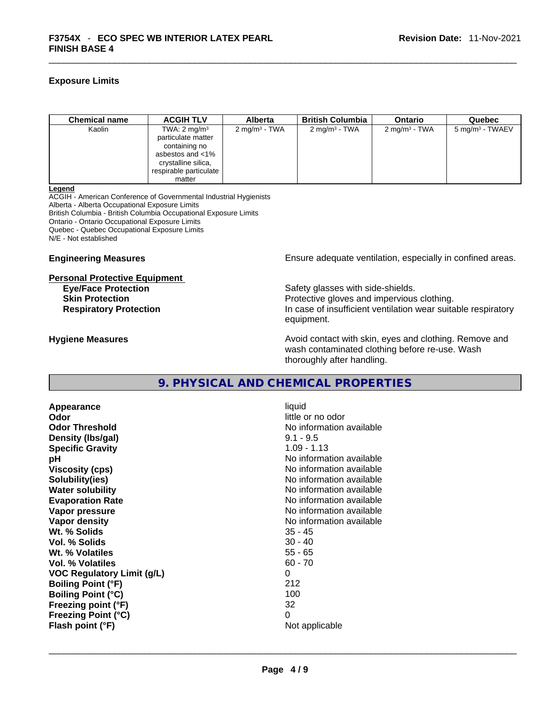# **Exposure Limits**

| <b>Chemical name</b> | <b>ACGIH TLV</b>                                                                                                                                 | <b>Alberta</b>           | <b>British Columbia</b>  | <b>Ontario</b>            | Quebec                     |
|----------------------|--------------------------------------------------------------------------------------------------------------------------------------------------|--------------------------|--------------------------|---------------------------|----------------------------|
| Kaolin               | TWA: $2 \text{ mg/m}^3$<br>particulate matter<br>containing no<br>asbestos and $<$ 1%<br>crystalline silica,<br>respirable particulate<br>matter | $2 \text{ mg/m}^3$ - TWA | $2 \text{ mg/m}^3$ - TWA | 2 mg/m <sup>3</sup> - TWA | $5 \text{ mg/m}^3$ - TWAEV |

#### **Legend**

ACGIH - American Conference of Governmental Industrial Hygienists Alberta - Alberta Occupational Exposure Limits British Columbia - British Columbia Occupational Exposure Limits Ontario - Ontario Occupational Exposure Limits Quebec - Quebec Occupational Exposure Limits N/E - Not established

#### **Personal Protective Equipment**

**Engineering Measures Ensure** Ensure adequate ventilation, especially in confined areas.

**Eye/Face Protection**<br> **Safety glasses with side-shields.**<br> **Skin Protection** Protective gloves and impervious clothing. **Respiratory Protection In case of insufficient ventilation wear suitable respiratory** equipment.

**Hygiene Measures Avoid contact with skin, eyes and clothing. Remove and Hygiene Measures** and clothing. Remove and wash contaminated clothing before re-use. Wash thoroughly after handling.

# **9. PHYSICAL AND CHEMICAL PROPERTIES**

**Appearance** liquid **Odor Odor Odor Odor Odor Odor** *little or no odor little**or no odor* **Odor Threshold No information available No information available Density** (Ibs/gal) 9.1 - 9.5 **Specific Gravity** 1.09 - 1.13 **pH pH No** information available **Viscosity (cps) Viscosity (cps) No information available Solubility(ies)** No information available **Water solubility Water solubility No information available Evaporation Rate No information available**<br> **Vapor pressure No information available**<br>
No information available **Vapor density No information available No information available Wt. % Solids** 35 - 45 **Vol. % Solids** 30 - 40 **Wt. % Volatiles** 55 - 65 **Vol. % Volatiles VOC Regulatory Limit (g/L)** 0 **Boiling Point (°F)** 212 **Boiling Point (°C) Freezing point (°F)** 32 **Freezing Point (°C)** 0 **Flash point (°F)** Not applicable \_\_\_\_\_\_\_\_\_\_\_\_\_\_\_\_\_\_\_\_\_\_\_\_\_\_\_\_\_\_\_\_\_\_\_\_\_\_\_\_\_\_\_\_\_\_\_\_\_\_\_\_\_\_\_\_\_\_\_\_\_\_\_\_\_\_\_\_\_\_\_\_\_\_\_\_\_\_\_\_\_\_\_\_\_\_\_\_\_\_\_\_\_

**Vapor pressure** No information available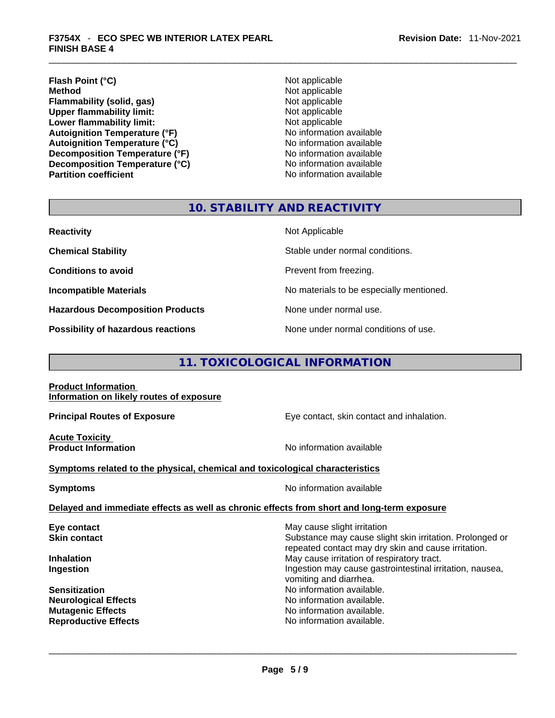# **Flash Point (°C)** Not applicable **Method Not applicable**<br> **Plammability (solid, gas)** Not applicable Not applicable **Flammability** (solid, gas) **Upper flammability limit:** Not applicable **Lower flammability limit:**<br> **Autoignition Temperature (°F)** Not applicable Not applicable available **Autoignition Temperature (°F)**<br> **Autoignition Temperature (°C)** No information available **Autoignition Temperature (°C) Decomposition Temperature (°F)**<br> **Decomposition Temperature (°C)** No information available **Decomposition Temperature (°C)**<br>Partition coefficient

**No information available** 

# **10. STABILITY AND REACTIVITY**

| <b>Reactivity</b>                         | Not Applicable                           |
|-------------------------------------------|------------------------------------------|
| <b>Chemical Stability</b>                 | Stable under normal conditions.          |
| <b>Conditions to avoid</b>                | Prevent from freezing.                   |
| <b>Incompatible Materials</b>             | No materials to be especially mentioned. |
| <b>Hazardous Decomposition Products</b>   | None under normal use.                   |
| <b>Possibility of hazardous reactions</b> | None under normal conditions of use.     |

# **11. TOXICOLOGICAL INFORMATION**

#### **Product Information Information on likely routes of exposure**

**Acute Toxicity** 

**Principal Routes of Exposure Exposure** Eye contact, skin contact and inhalation.

**Product Information Information No information available** 

# **<u>Symptoms related to the physical, chemical and toxicological characteristics</u>**

**Symptoms Symptoms No information available** 

# **Delayed and immediate effects as well as chronic effects from short and long-term exposure**

| Eye contact                 | May cause slight irritation                                                                                     |
|-----------------------------|-----------------------------------------------------------------------------------------------------------------|
| <b>Skin contact</b>         | Substance may cause slight skin irritation. Prolonged or<br>repeated contact may dry skin and cause irritation. |
| <b>Inhalation</b>           | May cause irritation of respiratory tract.                                                                      |
| Ingestion                   | Ingestion may cause gastrointestinal irritation, nausea,<br>vomiting and diarrhea.                              |
| <b>Sensitization</b>        | No information available.                                                                                       |
| <b>Neurological Effects</b> | No information available.                                                                                       |
| <b>Mutagenic Effects</b>    | No information available.                                                                                       |
| <b>Reproductive Effects</b> | No information available.                                                                                       |
|                             |                                                                                                                 |
|                             |                                                                                                                 |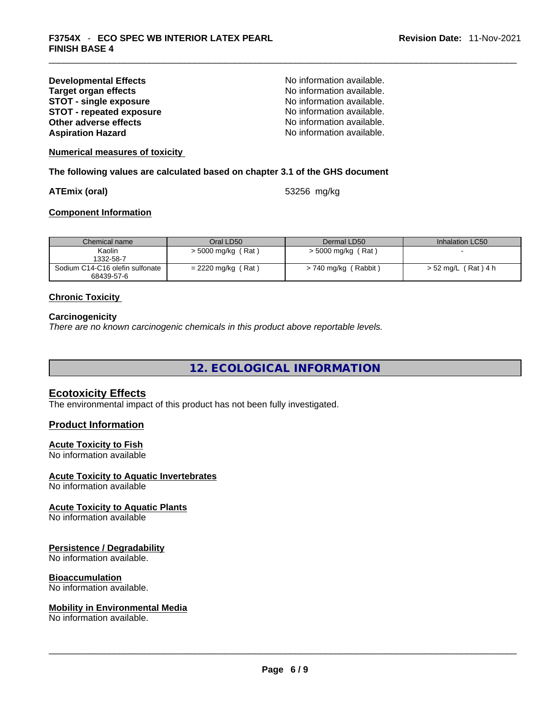| <b>Developmental Effects</b>    |  |
|---------------------------------|--|
| <b>Target organ effects</b>     |  |
| <b>STOT - single exposure</b>   |  |
| <b>STOT - repeated exposure</b> |  |
| Other adverse effects           |  |
| <b>Aspiration Hazard</b>        |  |

No information available. **No information available. STOT - single exposure** No information available. **STOT - repeated exposure** No information available. **Other adverse effects** No information available. No information available.

**Numerical measures of toxicity**

**The following values are calculated based on chapter 3.1 of the GHS document**

**ATEmix (oral)** 53256 mg/kg

# **Component Information**

| Chemical name                   | Oral LD50            | Dermal LD50          | Inhalation LC50     |
|---------------------------------|----------------------|----------------------|---------------------|
| Kaolin                          | $>$ 5000 mg/kg (Rat) | $>$ 5000 mg/kg (Rat) |                     |
| 1332-58-7                       |                      |                      |                     |
| Sodium C14-C16 olefin sulfonate | $= 2220$ mg/kg (Rat) | > 740 mg/kg (Rabbit) | > 52 mg/L (Rat) 4 h |
| 68439-57-6                      |                      |                      |                     |

# **Chronic Toxicity**

#### **Carcinogenicity**

*There are no known carcinogenic chemicals in this product above reportable levels.* 

**12. ECOLOGICAL INFORMATION** 

# **Ecotoxicity Effects**

The environmental impact of this product has not been fully investigated.

# **Product Information**

# **Acute Toxicity to Fish**

No information available

# **Acute Toxicity to Aquatic Invertebrates**

No information available

# **Acute Toxicity to Aquatic Plants**

No information available

# **Persistence / Degradability**

No information available.

# **Bioaccumulation**

No information available.

# **Mobility in Environmental Media**

No information available. \_\_\_\_\_\_\_\_\_\_\_\_\_\_\_\_\_\_\_\_\_\_\_\_\_\_\_\_\_\_\_\_\_\_\_\_\_\_\_\_\_\_\_\_\_\_\_\_\_\_\_\_\_\_\_\_\_\_\_\_\_\_\_\_\_\_\_\_\_\_\_\_\_\_\_\_\_\_\_\_\_\_\_\_\_\_\_\_\_\_\_\_\_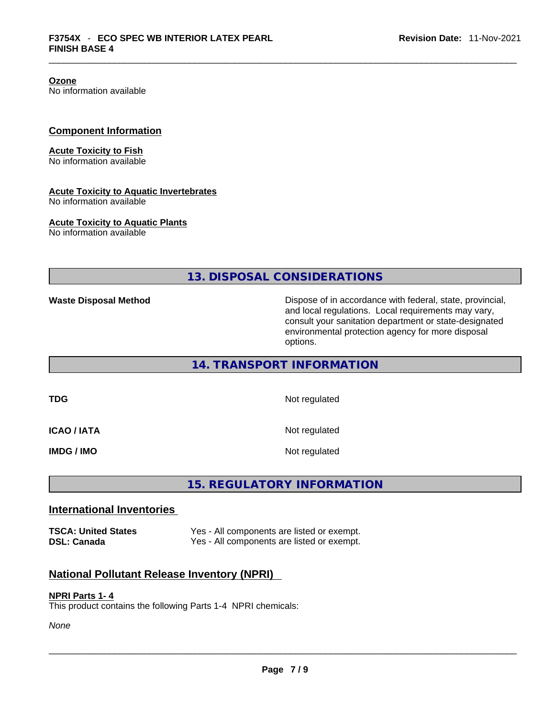**Ozone**

No information available

# **Component Information**

#### **Acute Toxicity to Fish**

No information available

#### **Acute Toxicity to Aquatic Invertebrates**

No information available

# **Acute Toxicity to Aquatic Plants**

No information available

**13. DISPOSAL CONSIDERATIONS** 

**Waste Disposal Method** Dispose of in accordance with federal, state, provincial, and local regulations. Local requirements may vary, consult your sanitation department or state-designated environmental protection agency for more disposal options.

# **14. TRANSPORT INFORMATION**

**TDG** Not regulated

**ICAO / IATA** Not regulated

**IMDG / IMO** Not regulated

# **15. REGULATORY INFORMATION**

# **International Inventories**

| <b>TSCA: United States</b> | Yes - All components are listed or exempt. |
|----------------------------|--------------------------------------------|
| DSL: Canada                | Yes - All components are listed or exempt. |

# **National Pollutant Release Inventory (NPRI)**

#### **NPRI Parts 1- 4**

This product contains the following Parts 1-4 NPRI chemicals: \_\_\_\_\_\_\_\_\_\_\_\_\_\_\_\_\_\_\_\_\_\_\_\_\_\_\_\_\_\_\_\_\_\_\_\_\_\_\_\_\_\_\_\_\_\_\_\_\_\_\_\_\_\_\_\_\_\_\_\_\_\_\_\_\_\_\_\_\_\_\_\_\_\_\_\_\_\_\_\_\_\_\_\_\_\_\_\_\_\_\_\_\_

*None*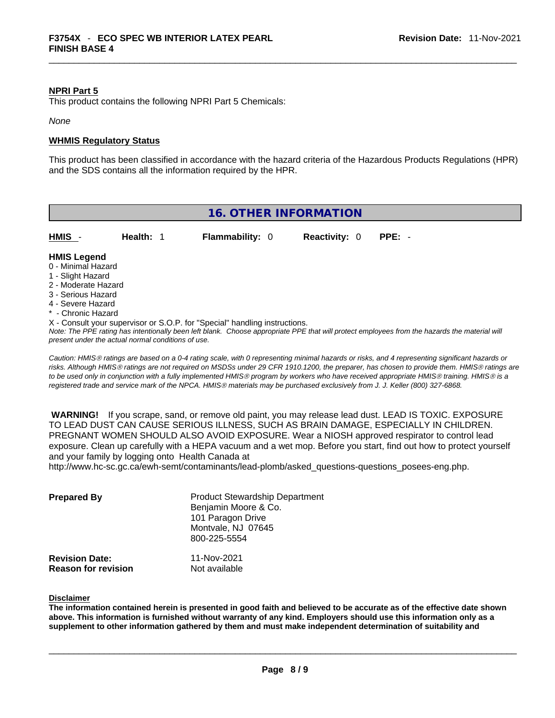#### **NPRI Part 5**

This product contains the following NPRI Part 5 Chemicals:

*None*

# **WHMIS Regulatory Status**

This product has been classified in accordance with the hazard criteria of the Hazardous Products Regulations (HPR) and the SDS contains all the information required by the HPR.



*risks. Although HMISÒ ratings are not required on MSDSs under 29 CFR 1910.1200, the preparer, has chosen to provide them. HMISÒ ratings are to be used only in conjunction with a fully implemented HMISÒ program by workers who have received appropriate HMISÒ training. HMISÒ is a registered trade and service mark of the NPCA. HMISÒ materials may be purchased exclusively from J. J. Keller (800) 327-6868.* 

 **WARNING!** If you scrape, sand, or remove old paint, you may release lead dust. LEAD IS TOXIC. EXPOSURE TO LEAD DUST CAN CAUSE SERIOUS ILLNESS, SUCH AS BRAIN DAMAGE, ESPECIALLY IN CHILDREN. PREGNANT WOMEN SHOULD ALSO AVOID EXPOSURE.Wear a NIOSH approved respirator to control lead exposure. Clean up carefully with a HEPA vacuum and a wet mop. Before you start, find out how to protect yourself and your family by logging onto Health Canada at

http://www.hc-sc.gc.ca/ewh-semt/contaminants/lead-plomb/asked\_questions-questions\_posees-eng.php.

| <b>Prepared By</b>                                  | <b>Product Stewardship Department</b><br>Benjamin Moore & Co.<br>101 Paragon Drive<br>Montvale, NJ 07645<br>800-225-5554 |  |
|-----------------------------------------------------|--------------------------------------------------------------------------------------------------------------------------|--|
| <b>Revision Date:</b><br><b>Reason for revision</b> | 11-Nov-2021<br>Not available                                                                                             |  |

#### **Disclaimer**

The information contained herein is presented in good faith and believed to be accurate as of the effective date shown above. This information is furnished without warranty of any kind. Employers should use this information only as a **supplement to other information gathered by them and must make independent determination of suitability and**

 $\_$  ,  $\_$  ,  $\_$  ,  $\_$  ,  $\_$  ,  $\_$  ,  $\_$  ,  $\_$  ,  $\_$  ,  $\_$  ,  $\_$  ,  $\_$  ,  $\_$  ,  $\_$  ,  $\_$  ,  $\_$  ,  $\_$  ,  $\_$  ,  $\_$  ,  $\_$  ,  $\_$  ,  $\_$  ,  $\_$  ,  $\_$  ,  $\_$  ,  $\_$  ,  $\_$  ,  $\_$  ,  $\_$  ,  $\_$  ,  $\_$  ,  $\_$  ,  $\_$  ,  $\_$  ,  $\_$  ,  $\_$  ,  $\_$  ,